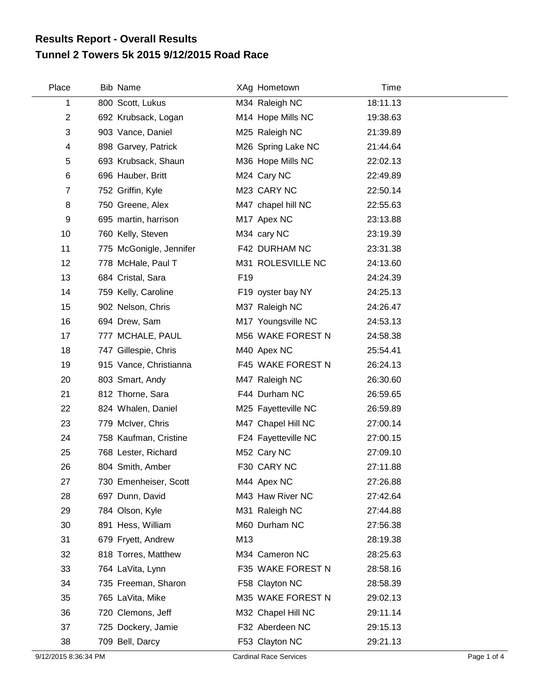## **Tunnel 2 Towers 5k 2015 9/12/2015 Road Race Results Report - Overall Results**

| Place          | <b>Bib Name</b>         |                 | XAg Hometown        | Time     |
|----------------|-------------------------|-----------------|---------------------|----------|
| 1              | 800 Scott, Lukus        |                 | M34 Raleigh NC      | 18:11.13 |
| 2              | 692 Krubsack, Logan     |                 | M14 Hope Mills NC   | 19:38.63 |
| 3              | 903 Vance, Daniel       |                 | M25 Raleigh NC      | 21:39.89 |
| 4              | 898 Garvey, Patrick     |                 | M26 Spring Lake NC  | 21:44.64 |
| 5              | 693 Krubsack, Shaun     |                 | M36 Hope Mills NC   | 22:02.13 |
| 6              | 696 Hauber, Britt       |                 | M24 Cary NC         | 22:49.89 |
| $\overline{7}$ | 752 Griffin, Kyle       |                 | M23 CARY NC         | 22:50.14 |
| 8              | 750 Greene, Alex        |                 | M47 chapel hill NC  | 22:55.63 |
| 9              | 695 martin, harrison    |                 | M17 Apex NC         | 23:13.88 |
| 10             | 760 Kelly, Steven       |                 | M34 cary NC         | 23:19.39 |
| 11             | 775 McGonigle, Jennifer |                 | F42 DURHAM NC       | 23:31.38 |
| 12             | 778 McHale, Paul T      |                 | M31 ROLESVILLE NC   | 24:13.60 |
| 13             | 684 Cristal, Sara       | F <sub>19</sub> |                     | 24:24.39 |
| 14             | 759 Kelly, Caroline     |                 | F19 oyster bay NY   | 24:25.13 |
| 15             | 902 Nelson, Chris       |                 | M37 Raleigh NC      | 24:26.47 |
| 16             | 694 Drew, Sam           |                 | M17 Youngsville NC  | 24:53.13 |
| 17             | 777 MCHALE, PAUL        |                 | M56 WAKE FOREST N   | 24:58.38 |
| 18             | 747 Gillespie, Chris    |                 | M40 Apex NC         | 25:54.41 |
| 19             | 915 Vance, Christianna  |                 | F45 WAKE FOREST N   | 26:24.13 |
| 20             | 803 Smart, Andy         |                 | M47 Raleigh NC      | 26:30.60 |
| 21             | 812 Thorne, Sara        |                 | F44 Durham NC       | 26:59.65 |
| 22             | 824 Whalen, Daniel      |                 | M25 Fayetteville NC | 26:59.89 |
| 23             | 779 McIver, Chris       |                 | M47 Chapel Hill NC  | 27:00.14 |
| 24             | 758 Kaufman, Cristine   |                 | F24 Fayetteville NC | 27:00.15 |
| 25             | 768 Lester, Richard     |                 | M52 Cary NC         | 27:09.10 |
| 26             | 804 Smith, Amber        |                 | F30 CARY NC         | 27:11.88 |
| 27             | 730 Emenheiser, Scott   |                 | M44 Apex NC         | 27:26.88 |
| 28             | 697 Dunn, David         |                 | M43 Haw River NC    | 27:42.64 |
| 29             | 784 Olson, Kyle         |                 | M31 Raleigh NC      | 27:44.88 |
| 30             | 891 Hess, William       |                 | M60 Durham NC       | 27:56.38 |
| 31             | 679 Fryett, Andrew      | M13             |                     | 28:19.38 |
| 32             | 818 Torres, Matthew     |                 | M34 Cameron NC      | 28:25.63 |
| 33             | 764 LaVita, Lynn        |                 | F35 WAKE FOREST N   | 28:58.16 |
| 34             | 735 Freeman, Sharon     |                 | F58 Clayton NC      | 28:58.39 |
| 35             | 765 LaVita, Mike        |                 | M35 WAKE FOREST N   | 29:02.13 |
| 36             | 720 Clemons, Jeff       |                 | M32 Chapel Hill NC  | 29:11.14 |
| 37             | 725 Dockery, Jamie      |                 | F32 Aberdeen NC     | 29:15.13 |
| 38             | 709 Bell, Darcy         |                 | F53 Clayton NC      | 29:21.13 |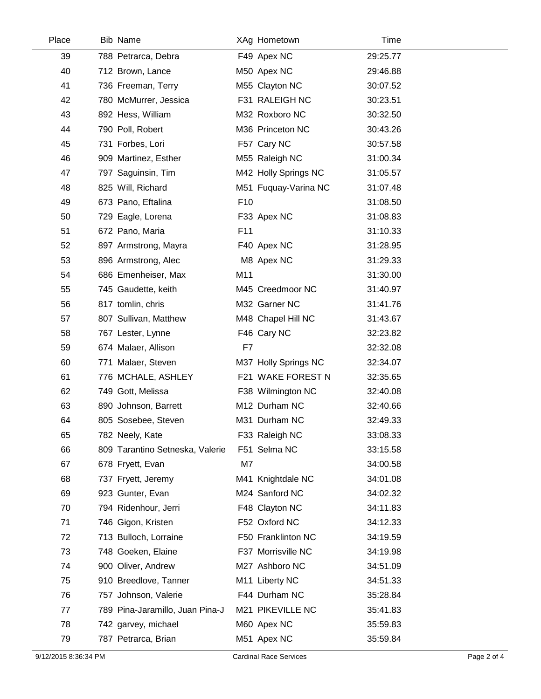| Place | <b>Bib Name</b>                 | XAg Hometown         | Time     |  |
|-------|---------------------------------|----------------------|----------|--|
| 39    | 788 Petrarca, Debra             | F49 Apex NC          | 29:25.77 |  |
| 40    | 712 Brown, Lance                | M50 Apex NC          | 29:46.88 |  |
| 41    | 736 Freeman, Terry              | M55 Clayton NC       | 30:07.52 |  |
| 42    | 780 McMurrer, Jessica           | F31 RALEIGH NC       | 30:23.51 |  |
| 43    | 892 Hess, William               | M32 Roxboro NC       | 30:32.50 |  |
| 44    | 790 Poll, Robert                | M36 Princeton NC     | 30:43.26 |  |
| 45    | 731 Forbes, Lori                | F57 Cary NC          | 30:57.58 |  |
| 46    | 909 Martinez, Esther            | M55 Raleigh NC       | 31:00.34 |  |
| 47    | 797 Saguinsin, Tim              | M42 Holly Springs NC | 31:05.57 |  |
| 48    | 825 Will, Richard               | M51 Fuquay-Varina NC | 31:07.48 |  |
| 49    | 673 Pano, Eftalina              | F <sub>10</sub>      | 31:08.50 |  |
| 50    | 729 Eagle, Lorena               | F33 Apex NC          | 31:08.83 |  |
| 51    | 672 Pano, Maria                 | F <sub>11</sub>      | 31:10.33 |  |
| 52    | 897 Armstrong, Mayra            | F40 Apex NC          | 31:28.95 |  |
| 53    | 896 Armstrong, Alec             | M8 Apex NC           | 31:29.33 |  |
| 54    | 686 Emenheiser, Max             | M11                  | 31:30.00 |  |
| 55    | 745 Gaudette, keith             | M45 Creedmoor NC     | 31:40.97 |  |
| 56    | 817 tomlin, chris               | M32 Garner NC        | 31:41.76 |  |
| 57    | 807 Sullivan, Matthew           | M48 Chapel Hill NC   | 31:43.67 |  |
| 58    | 767 Lester, Lynne               | F46 Cary NC          | 32:23.82 |  |
| 59    | 674 Malaer, Allison             | F7                   | 32:32.08 |  |
| 60    | 771 Malaer, Steven              | M37 Holly Springs NC | 32:34.07 |  |
| 61    | 776 MCHALE, ASHLEY              | F21 WAKE FOREST N    | 32:35.65 |  |
| 62    | 749 Gott, Melissa               | F38 Wilmington NC    | 32:40.08 |  |
| 63    | 890 Johnson, Barrett            | M12 Durham NC        | 32:40.66 |  |
| 64    | 805 Sosebee, Steven             | M31 Durham NC        | 32:49.33 |  |
| 65    | 782 Neely, Kate                 | F33 Raleigh NC       | 33:08.33 |  |
| 66    | 809 Tarantino Setneska, Valerie | F51 Selma NC         | 33:15.58 |  |
| 67    | 678 Fryett, Evan                | M7                   | 34:00.58 |  |
| 68    | 737 Fryett, Jeremy              | M41 Knightdale NC    | 34:01.08 |  |
| 69    | 923 Gunter, Evan                | M24 Sanford NC       | 34:02.32 |  |
| 70    | 794 Ridenhour, Jerri            | F48 Clayton NC       | 34:11.83 |  |
| 71    | 746 Gigon, Kristen              | F52 Oxford NC        | 34:12.33 |  |
| 72    | 713 Bulloch, Lorraine           | F50 Franklinton NC   | 34:19.59 |  |
| 73    | 748 Goeken, Elaine              | F37 Morrisville NC   | 34:19.98 |  |
| 74    | 900 Oliver, Andrew              | M27 Ashboro NC       | 34:51.09 |  |
| 75    | 910 Breedlove, Tanner           | M11 Liberty NC       | 34:51.33 |  |
| 76    | 757 Johnson, Valerie            | F44 Durham NC        | 35:28.84 |  |
| 77    | 789 Pina-Jaramillo, Juan Pina-J | M21 PIKEVILLE NC     | 35:41.83 |  |
| 78    | 742 garvey, michael             | M60 Apex NC          | 35:59.83 |  |
| 79    | 787 Petrarca, Brian             | M51 Apex NC          | 35:59.84 |  |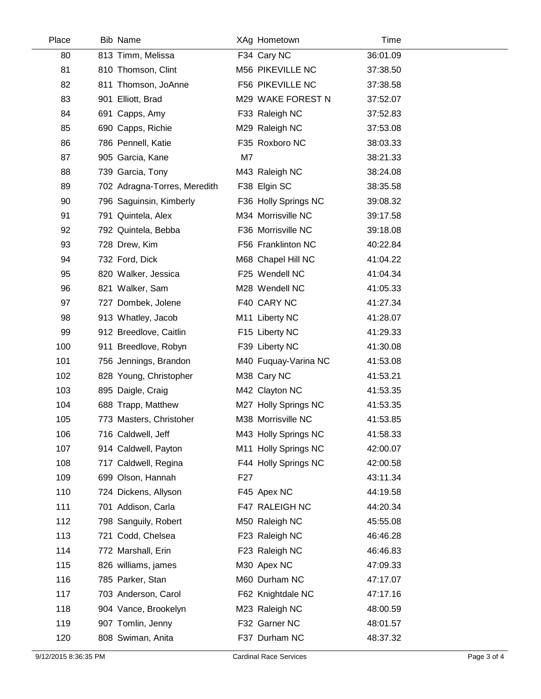| Place | <b>Bib Name</b>              | XAg Hometown         | Time     |  |
|-------|------------------------------|----------------------|----------|--|
| 80    | 813 Timm, Melissa            | F34 Cary NC          | 36:01.09 |  |
| 81    | 810 Thomson, Clint           | M56 PIKEVILLE NC     | 37:38.50 |  |
| 82    | 811 Thomson, JoAnne          | F56 PIKEVILLE NC     | 37:38.58 |  |
| 83    | 901 Elliott, Brad            | M29 WAKE FOREST N    | 37:52.07 |  |
| 84    | 691 Capps, Amy               | F33 Raleigh NC       | 37:52.83 |  |
| 85    | 690 Capps, Richie            | M29 Raleigh NC       | 37:53.08 |  |
| 86    | 786 Pennell, Katie           | F35 Roxboro NC       | 38:03.33 |  |
| 87    | 905 Garcia, Kane             | M7                   | 38:21.33 |  |
| 88    | 739 Garcia, Tony             | M43 Raleigh NC       | 38:24.08 |  |
| 89    | 702 Adragna-Torres, Meredith | F38 Elgin SC         | 38:35.58 |  |
| 90    | 796 Saguinsin, Kimberly      | F36 Holly Springs NC | 39:08.32 |  |
| 91    | 791 Quintela, Alex           | M34 Morrisville NC   | 39:17.58 |  |
| 92    | 792 Quintela, Bebba          | F36 Morrisville NC   | 39:18.08 |  |
| 93    | 728 Drew, Kim                | F56 Franklinton NC   | 40:22.84 |  |
| 94    | 732 Ford, Dick               | M68 Chapel Hill NC   | 41:04.22 |  |
| 95    | 820 Walker, Jessica          | F25 Wendell NC       | 41:04.34 |  |
| 96    | 821 Walker, Sam              | M28 Wendell NC       | 41:05.33 |  |
| 97    | 727 Dombek, Jolene           | F40 CARY NC          | 41:27.34 |  |
| 98    | 913 Whatley, Jacob           | M11 Liberty NC       | 41:28.07 |  |
| 99    | 912 Breedlove, Caitlin       | F15 Liberty NC       | 41:29.33 |  |
| 100   | 911 Breedlove, Robyn         | F39 Liberty NC       | 41:30.08 |  |
| 101   | 756 Jennings, Brandon        | M40 Fuquay-Varina NC | 41:53.08 |  |
| 102   | 828 Young, Christopher       | M38 Cary NC          | 41:53.21 |  |
| 103   | 895 Daigle, Craig            | M42 Clayton NC       | 41:53.35 |  |
| 104   | 688 Trapp, Matthew           | M27 Holly Springs NC | 41:53.35 |  |
| 105   | 773 Masters, Christoher      | M38 Morrisville NC   | 41:53.85 |  |
| 106   | 716 Caldwell, Jeff           | M43 Holly Springs NC | 41:58.33 |  |
| 107   | 914 Caldwell, Payton         | M11 Holly Springs NC | 42:00.07 |  |
| 108   | 717 Caldwell, Regina         | F44 Holly Springs NC | 42:00.58 |  |
| 109   | 699 Olson, Hannah            | F <sub>27</sub>      | 43:11.34 |  |
| 110   | 724 Dickens, Allyson         | F45 Apex NC          | 44:19.58 |  |
| 111   | 701 Addison, Carla           | F47 RALEIGH NC       | 44:20.34 |  |
| 112   | 798 Sanguily, Robert         | M50 Raleigh NC       | 45:55.08 |  |
| 113   | 721 Codd, Chelsea            | F23 Raleigh NC       | 46:46.28 |  |
| 114   | 772 Marshall, Erin           | F23 Raleigh NC       | 46:46.83 |  |
| 115   | 826 williams, james          | M30 Apex NC          | 47:09.33 |  |
| 116   | 785 Parker, Stan             | M60 Durham NC        | 47:17.07 |  |
| 117   | 703 Anderson, Carol          | F62 Knightdale NC    | 47:17.16 |  |
| 118   | 904 Vance, Brookelyn         | M23 Raleigh NC       | 48:00.59 |  |
| 119   | 907 Tomlin, Jenny            | F32 Garner NC        | 48:01.57 |  |
| 120   | 808 Swiman, Anita            | F37 Durham NC        | 48:37.32 |  |